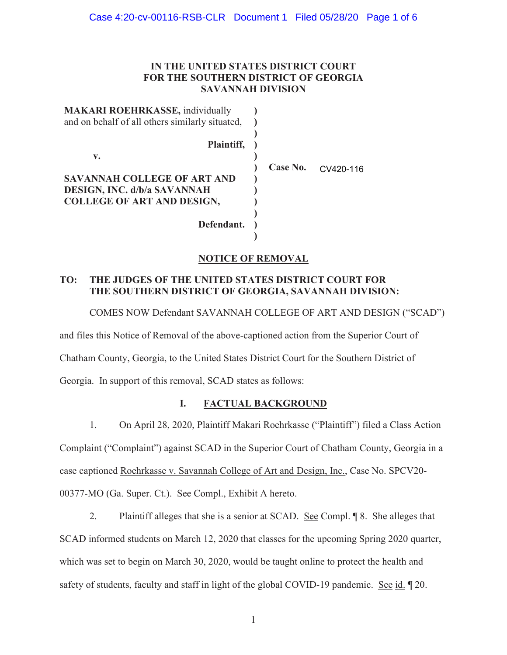# **IN THE UNITED STATES DISTRICT COURT FOR THE SOUTHERN DISTRICT OF GEORGIA SAVANNAH DIVISION**

| <b>MAKARI ROEHRKASSE, individually</b><br>and on behalf of all others similarly situated, |          |           |
|-------------------------------------------------------------------------------------------|----------|-----------|
| Plaintiff,                                                                                |          |           |
| v.                                                                                        |          |           |
|                                                                                           | Case No. | CV420-116 |
| SAVANNAH COLLEGE OF ART AND                                                               |          |           |
| <b>DESIGN, INC. d/b/a SAVANNAH</b>                                                        |          |           |
| <b>COLLEGE OF ART AND DESIGN,</b>                                                         |          |           |
|                                                                                           |          |           |
| Defendant.                                                                                |          |           |
|                                                                                           |          |           |

# **NOTICE OF REMOVAL**

# **TO: THE JUDGES OF THE UNITED STATES DISTRICT COURT FOR THE SOUTHERN DISTRICT OF GEORGIA, SAVANNAH DIVISION:**

COMES NOW Defendant SAVANNAH COLLEGE OF ART AND DESIGN ("SCAD")

and files this Notice of Removal of the above-captioned action from the Superior Court of

Chatham County, Georgia, to the United States District Court for the Southern District of

Georgia. In support of this removal, SCAD states as follows:

# **I. FACTUAL BACKGROUND**

1. On April 28, 2020, Plaintiff Makari Roehrkasse ("Plaintiff") filed a Class Action Complaint ("Complaint") against SCAD in the Superior Court of Chatham County, Georgia in a case captioned Roehrkasse v. Savannah College of Art and Design, Inc., Case No. SPCV20- 00377-MO (Ga. Super. Ct.). See Compl., Exhibit A hereto.

2. Plaintiff alleges that she is a senior at SCAD. See Compl. ¶ 8. She alleges that SCAD informed students on March 12, 2020 that classes for the upcoming Spring 2020 quarter, which was set to begin on March 30, 2020, would be taught online to protect the health and safety of students, faculty and staff in light of the global COVID-19 pandemic. See id. ¶ 20.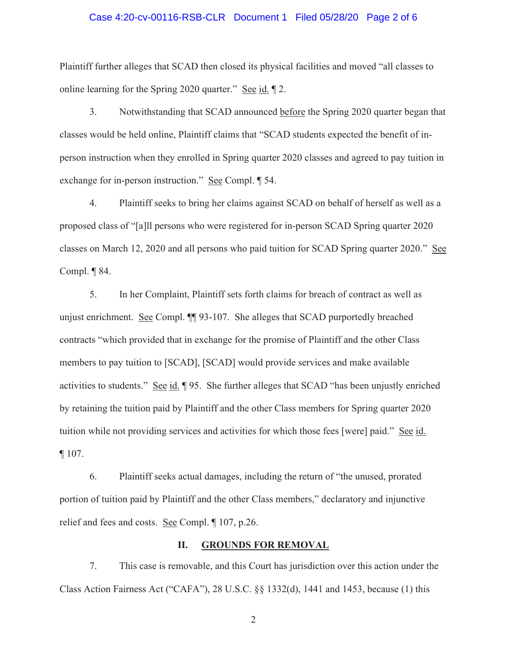#### Case 4:20-cv-00116-RSB-CLR Document 1 Filed 05/28/20 Page 2 of 6

Plaintiff further alleges that SCAD then closed its physical facilities and moved "all classes to online learning for the Spring 2020 quarter." See id. ¶ 2.

3. Notwithstanding that SCAD announced before the Spring 2020 quarter began that classes would be held online, Plaintiff claims that "SCAD students expected the benefit of inperson instruction when they enrolled in Spring quarter 2020 classes and agreed to pay tuition in exchange for in-person instruction." See Compl. ¶ 54.

4. Plaintiff seeks to bring her claims against SCAD on behalf of herself as well as a proposed class of "[a]ll persons who were registered for in-person SCAD Spring quarter 2020 classes on March 12, 2020 and all persons who paid tuition for SCAD Spring quarter 2020." See Compl. ¶ 84.

5. In her Complaint, Plaintiff sets forth claims for breach of contract as well as unjust enrichment. See Compl. ¶¶ 93-107. She alleges that SCAD purportedly breached contracts "which provided that in exchange for the promise of Plaintiff and the other Class members to pay tuition to [SCAD], [SCAD] would provide services and make available activities to students." See id. ¶ 95. She further alleges that SCAD "has been unjustly enriched by retaining the tuition paid by Plaintiff and the other Class members for Spring quarter 2020 tuition while not providing services and activities for which those fees [were] paid." See id. ¶ 107.

6. Plaintiff seeks actual damages, including the return of "the unused, prorated portion of tuition paid by Plaintiff and the other Class members," declaratory and injunctive relief and fees and costs. See Compl. ¶ 107, p.26.

#### **II. GROUNDS FOR REMOVAL**

7. This case is removable, and this Court has jurisdiction over this action under the Class Action Fairness Act ("CAFA"), 28 U.S.C. §§ 1332(d), 1441 and 1453, because (1) this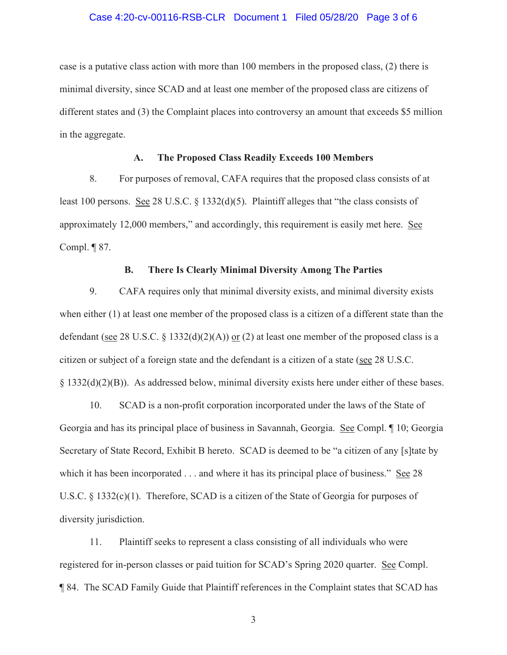#### Case 4:20-cv-00116-RSB-CLR Document 1 Filed 05/28/20 Page 3 of 6

case is a putative class action with more than 100 members in the proposed class, (2) there is minimal diversity, since SCAD and at least one member of the proposed class are citizens of different states and (3) the Complaint places into controversy an amount that exceeds \$5 million in the aggregate.

#### **A. The Proposed Class Readily Exceeds 100 Members**

8. For purposes of removal, CAFA requires that the proposed class consists of at least 100 persons. See 28 U.S.C. § 1332(d)(5). Plaintiff alleges that "the class consists of approximately 12,000 members," and accordingly, this requirement is easily met here. See Compl. ¶ 87.

#### **B. There Is Clearly Minimal Diversity Among The Parties**

9. CAFA requires only that minimal diversity exists, and minimal diversity exists when either (1) at least one member of the proposed class is a citizen of a different state than the defendant (see 28 U.S.C. § 1332(d)(2)(A)) or (2) at least one member of the proposed class is a citizen or subject of a foreign state and the defendant is a citizen of a state (see 28 U.S.C. § 1332(d)(2)(B)). As addressed below, minimal diversity exists here under either of these bases.

10. SCAD is a non-profit corporation incorporated under the laws of the State of Georgia and has its principal place of business in Savannah, Georgia. See Compl. ¶ 10; Georgia Secretary of State Record, Exhibit B hereto. SCAD is deemed to be "a citizen of any [s]tate by which it has been incorporated . . . and where it has its principal place of business." See 28 U.S.C. § 1332(c)(1). Therefore, SCAD is a citizen of the State of Georgia for purposes of diversity jurisdiction.

11. Plaintiff seeks to represent a class consisting of all individuals who were registered for in-person classes or paid tuition for SCAD's Spring 2020 quarter. See Compl. ¶ 84. The SCAD Family Guide that Plaintiff references in the Complaint states that SCAD has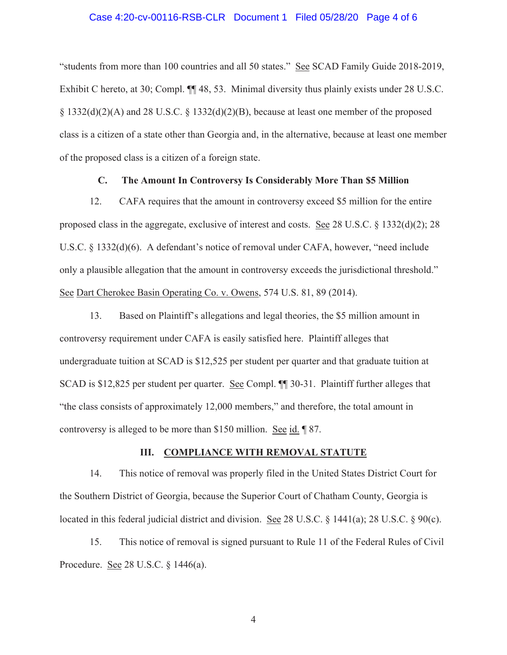#### Case 4:20-cv-00116-RSB-CLR Document 1 Filed 05/28/20 Page 4 of 6

"students from more than 100 countries and all 50 states." See SCAD Family Guide 2018-2019, Exhibit C hereto, at 30; Compl. ¶¶ 48, 53. Minimal diversity thus plainly exists under 28 U.S.C. § 1332(d)(2)(A) and 28 U.S.C. § 1332(d)(2)(B), because at least one member of the proposed class is a citizen of a state other than Georgia and, in the alternative, because at least one member of the proposed class is a citizen of a foreign state.

### **C. The Amount In Controversy Is Considerably More Than \$5 Million**

12. CAFA requires that the amount in controversy exceed \$5 million for the entire proposed class in the aggregate, exclusive of interest and costs. See 28 U.S.C. § 1332(d)(2); 28 U.S.C. § 1332(d)(6). A defendant's notice of removal under CAFA, however, "need include only a plausible allegation that the amount in controversy exceeds the jurisdictional threshold." See Dart Cherokee Basin Operating Co. v. Owens, 574 U.S. 81, 89 (2014).

13. Based on Plaintiff's allegations and legal theories, the \$5 million amount in controversy requirement under CAFA is easily satisfied here. Plaintiff alleges that undergraduate tuition at SCAD is \$12,525 per student per quarter and that graduate tuition at SCAD is \$12,825 per student per quarter. See Compl. ¶¶ 30-31. Plaintiff further alleges that "the class consists of approximately 12,000 members," and therefore, the total amount in controversy is alleged to be more than \$150 million. See id. ¶ 87.

# **III. COMPLIANCE WITH REMOVAL STATUTE**

14. This notice of removal was properly filed in the United States District Court for the Southern District of Georgia, because the Superior Court of Chatham County, Georgia is located in this federal judicial district and division. See 28 U.S.C. § 1441(a); 28 U.S.C. § 90(c).

15. This notice of removal is signed pursuant to Rule 11 of the Federal Rules of Civil Procedure. See 28 U.S.C. § 1446(a).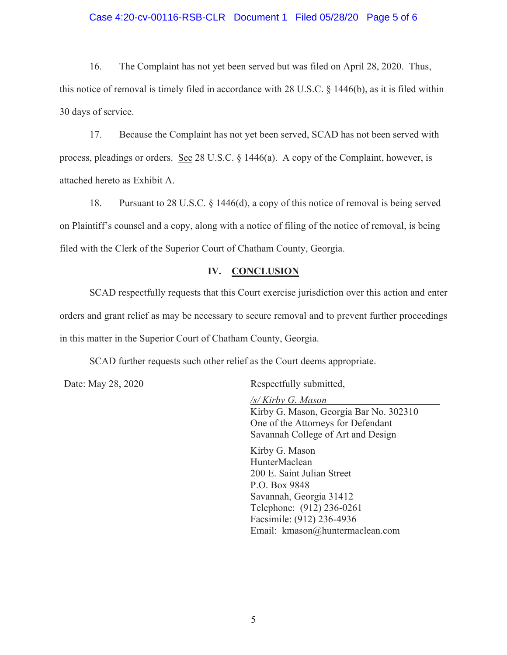#### Case 4:20-cv-00116-RSB-CLR Document 1 Filed 05/28/20 Page 5 of 6

16. The Complaint has not yet been served but was filed on April 28, 2020. Thus, this notice of removal is timely filed in accordance with 28 U.S.C. § 1446(b), as it is filed within 30 days of service.

17. Because the Complaint has not yet been served, SCAD has not been served with process, pleadings or orders. See 28 U.S.C. § 1446(a). A copy of the Complaint, however, is attached hereto as Exhibit A.

18. Pursuant to 28 U.S.C. § 1446(d), a copy of this notice of removal is being served on Plaintiff's counsel and a copy, along with a notice of filing of the notice of removal, is being filed with the Clerk of the Superior Court of Chatham County, Georgia.

#### **IV. CONCLUSION**

SCAD respectfully requests that this Court exercise jurisdiction over this action and enter orders and grant relief as may be necessary to secure removal and to prevent further proceedings in this matter in the Superior Court of Chatham County, Georgia.

SCAD further requests such other relief as the Court deems appropriate.

Date: May 28, 2020 Respectfully submitted,

*/s/ Kirby G. Mason* Kirby G. Mason, Georgia Bar No. 302310 One of the Attorneys for Defendant Savannah College of Art and Design

Kirby G. Mason HunterMaclean 200 E. Saint Julian Street P.O. Box 9848 Savannah, Georgia 31412 Telephone: (912) 236-0261 Facsimile: (912) 236-4936 Email: kmason@huntermaclean.com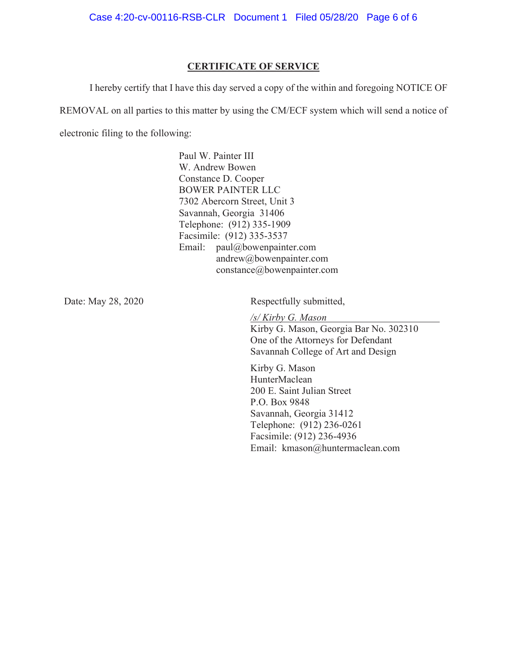#### **CERTIFICATE OF SERVICE**

I hereby certify that I have this day served a copy of the within and foregoing NOTICE OF

REMOVAL on all parties to this matter by using the CM/ECF system which will send a notice of

electronic filing to the following:

Paul W. Painter III W. Andrew Bowen Constance D. Cooper BOWER PAINTER LLC 7302 Abercorn Street, Unit 3 Savannah, Georgia 31406 Telephone: (912) 335-1909 Facsimile: (912) 335-3537 Email: paul@bowenpainter.com andrew@bowenpainter.com constance@bowenpainter.com

Date: May 28, 2020 Respectfully submitted,

*/s/ Kirby G. Mason* Kirby G. Mason, Georgia Bar No. 302310 One of the Attorneys for Defendant Savannah College of Art and Design

Kirby G. Mason HunterMaclean 200 E. Saint Julian Street P.O. Box 9848 Savannah, Georgia 31412 Telephone: (912) 236-0261 Facsimile: (912) 236-4936 Email: kmason@huntermaclean.com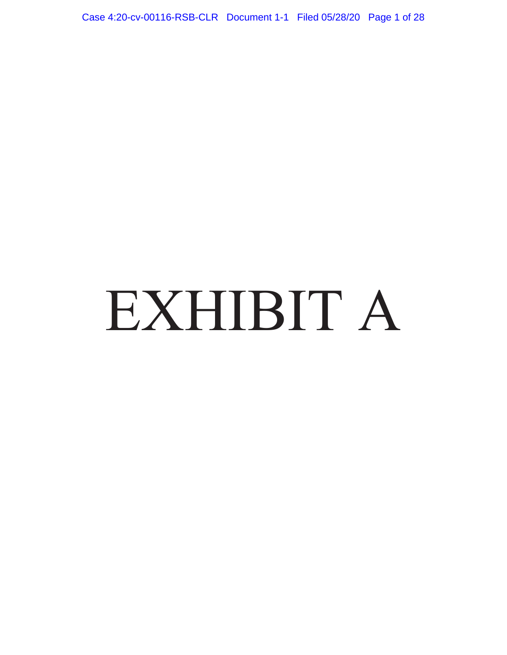Case 4:20-cv-00116-RSB-CLR Document 1-1 Filed 05/28/20 Page 1 of 28

# EXHIBIT A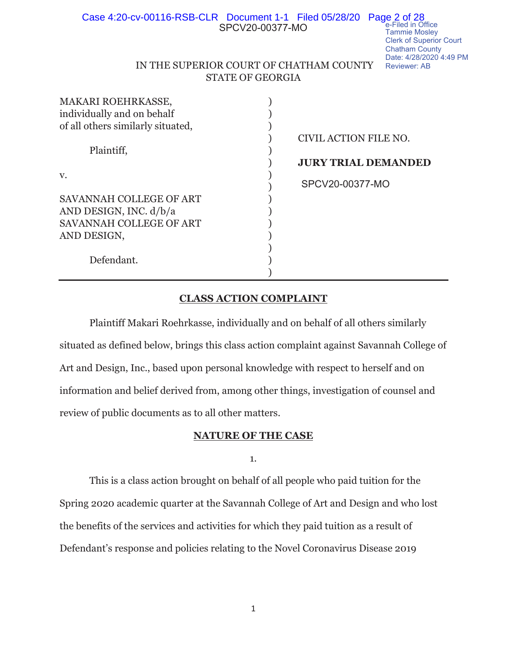| Case 4:20-cv-00116-RSB-CLR Document 1-1 Filed 05/28/20 Page 2 of 28<br>SPCV20-00377-MO<br><b>Tammie Mosley</b><br><b>Clerk of Superior Court</b><br><b>Chatham County</b><br>Date: 4/28/2020 4:49 P<br>IN THE SUPERIOR COURT OF CHATHAM COUNTY<br><b>Reviewer: AB</b> |
|-----------------------------------------------------------------------------------------------------------------------------------------------------------------------------------------------------------------------------------------------------------------------|
| <b>STATE OF GEORGIA</b>                                                                                                                                                                                                                                               |
|                                                                                                                                                                                                                                                                       |
|                                                                                                                                                                                                                                                                       |
|                                                                                                                                                                                                                                                                       |
|                                                                                                                                                                                                                                                                       |
| CIVIL ACTION FILE NO.                                                                                                                                                                                                                                                 |
|                                                                                                                                                                                                                                                                       |
| <b>JURY TRIAL DEMANDED</b>                                                                                                                                                                                                                                            |
|                                                                                                                                                                                                                                                                       |
| SPCV20-00377-MO                                                                                                                                                                                                                                                       |
|                                                                                                                                                                                                                                                                       |
|                                                                                                                                                                                                                                                                       |
|                                                                                                                                                                                                                                                                       |
|                                                                                                                                                                                                                                                                       |
|                                                                                                                                                                                                                                                                       |
|                                                                                                                                                                                                                                                                       |
|                                                                                                                                                                                                                                                                       |

PM

# **CLASS ACTION COMPLAINT**

 $)$ 

Plaintiff Makari Roehrkasse, individually and on behalf of all others similarly situated as defined below, brings this class action complaint against Savannah College of Art and Design, Inc., based upon personal knowledge with respect to herself and on information and belief derived from, among other things, investigation of counsel and review of public documents as to all other matters.

#### **NATURE OF THE CASE**

#### 1.

This is a class action brought on behalf of all people who paid tuition for the Spring 2020 academic quarter at the Savannah College of Art and Design and who lost the benefits of the services and activities for which they paid tuition as a result of Defendant's response and policies relating to the Novel Coronavirus Disease 2019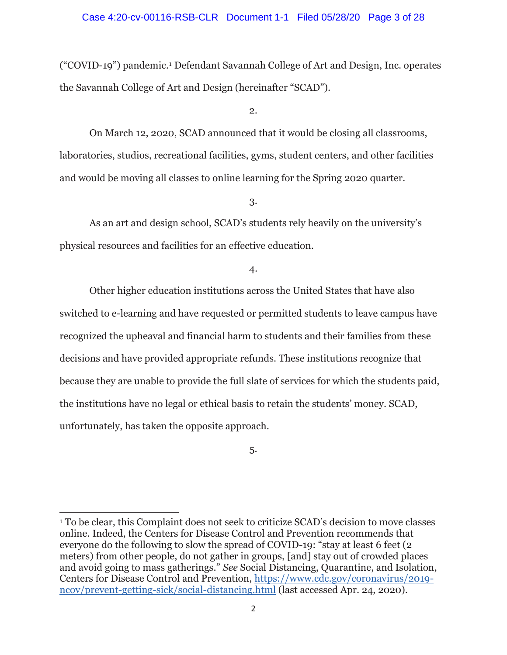#### Case 4:20-cv-00116-RSB-CLR Document 1-1 Filed 05/28/20 Page 3 of 28

("COVID-19") pandemic.1 Defendant Savannah College of Art and Design, Inc. operates the Savannah College of Art and Design (hereinafter "SCAD").

2.

 On March 12, 2020, SCAD announced that it would be closing all classrooms, laboratories, studios, recreational facilities, gyms, student centers, and other facilities and would be moving all classes to online learning for the Spring 2020 quarter.

3.

 As an art and design school, SCAD's students rely heavily on the university's physical resources and facilities for an effective education.

4.

Other higher education institutions across the United States that have also switched to e-learning and have requested or permitted students to leave campus have recognized the upheaval and financial harm to students and their families from these decisions and have provided appropriate refunds. These institutions recognize that because they are unable to provide the full slate of services for which the students paid, the institutions have no legal or ethical basis to retain the students' money. SCAD, unfortunately, has taken the opposite approach.

5.

<sup>&</sup>lt;sup>1</sup> To be clear, this Complaint does not seek to criticize SCAD's decision to move classes online. Indeed, the Centers for Disease Control and Prevention recommends that everyone do the following to slow the spread of COVID-19: "stay at least 6 feet (2 meters) from other people, do not gather in groups, [and] stay out of crowded places and avoid going to mass gatherings." *See* Social Distancing, Quarantine, and Isolation, Centers for Disease Control and Prevention, https://www.cdc.gov/coronavirus/2019 ncov/prevent-getting-sick/social-distancing.html (last accessed Apr. 24, 2020).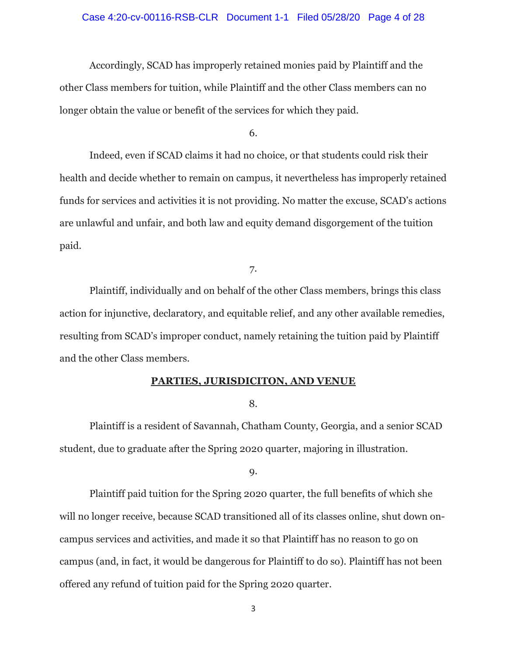# Case 4:20-cv-00116-RSB-CLR Document 1-1 Filed 05/28/20 Page 4 of 28

 Accordingly, SCAD has improperly retained monies paid by Plaintiff and the other Class members for tuition, while Plaintiff and the other Class members can no longer obtain the value or benefit of the services for which they paid.

6.

 Indeed, even if SCAD claims it had no choice, or that students could risk their health and decide whether to remain on campus, it nevertheless has improperly retained funds for services and activities it is not providing. No matter the excuse, SCAD's actions are unlawful and unfair, and both law and equity demand disgorgement of the tuition paid.

7.

 Plaintiff, individually and on behalf of the other Class members, brings this class action for injunctive, declaratory, and equitable relief, and any other available remedies, resulting from SCAD's improper conduct, namely retaining the tuition paid by Plaintiff and the other Class members.

#### **PARTIES, JURISDICITON, AND VENUE**

8.

 Plaintiff is a resident of Savannah, Chatham County, Georgia, and a senior SCAD student, due to graduate after the Spring 2020 quarter, majoring in illustration.

9.

 Plaintiff paid tuition for the Spring 2020 quarter, the full benefits of which she will no longer receive, because SCAD transitioned all of its classes online, shut down oncampus services and activities, and made it so that Plaintiff has no reason to go on campus (and, in fact, it would be dangerous for Plaintiff to do so). Plaintiff has not been offered any refund of tuition paid for the Spring 2020 quarter.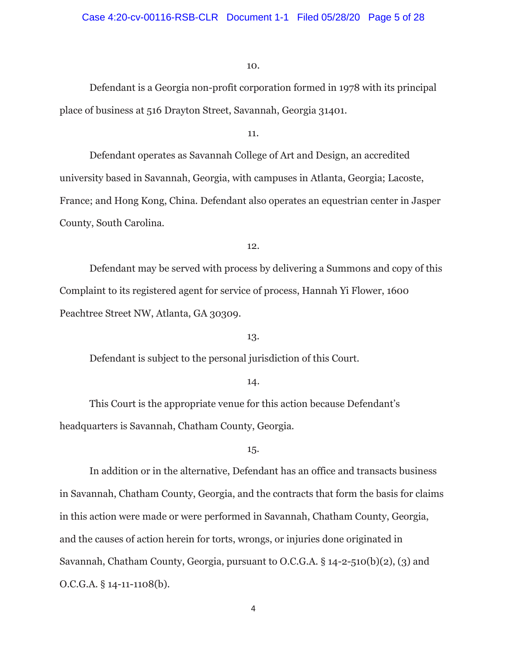Defendant is a Georgia non-profit corporation formed in 1978 with its principal place of business at 516 Drayton Street, Savannah, Georgia 31401.

11.

 Defendant operates as Savannah College of Art and Design, an accredited university based in Savannah, Georgia, with campuses in Atlanta, Georgia; Lacoste, France; and Hong Kong, China. Defendant also operates an equestrian center in Jasper County, South Carolina.

12.

Defendant may be served with process by delivering a Summons and copy of this Complaint to its registered agent for service of process, Hannah Yi Flower, 1600 Peachtree Street NW, Atlanta, GA 30309.

### 13.

Defendant is subject to the personal jurisdiction of this Court.

#### 14.

 This Court is the appropriate venue for this action because Defendant's headquarters is Savannah, Chatham County, Georgia.

#### 15.

In addition or in the alternative, Defendant has an office and transacts business in Savannah, Chatham County, Georgia, and the contracts that form the basis for claims in this action were made or were performed in Savannah, Chatham County, Georgia, and the causes of action herein for torts, wrongs, or injuries done originated in Savannah, Chatham County, Georgia, pursuant to O.C.G.A. § 14-2-510(b)(2), (3) and O.C.G.A. § 14-11-1108(b).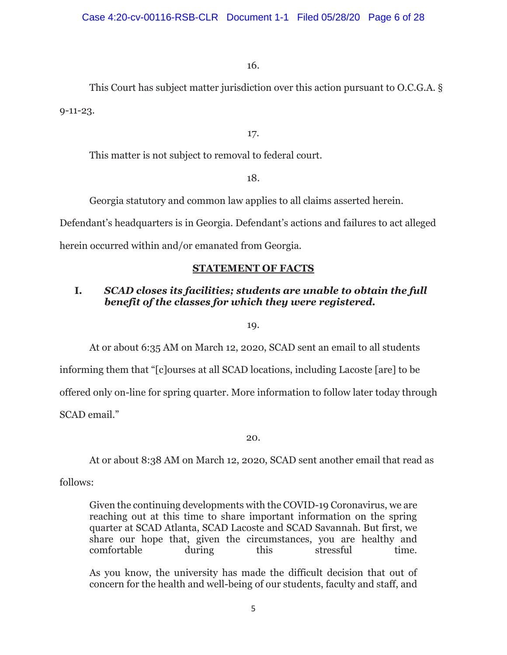This Court has subject matter jurisdiction over this action pursuant to O.C.G.A. § 9-11-23.

# 17.

This matter is not subject to removal to federal court.

# 18.

Georgia statutory and common law applies to all claims asserted herein.

Defendant's headquarters is in Georgia. Defendant's actions and failures to act alleged

herein occurred within and/or emanated from Georgia.

# **STATEMENT OF FACTS**

# **I.** *SCAD closes its facilities; students are unable to obtain the full benefit of the classes for which they were registered.*

19.

At or about 6:35 AM on March 12, 2020, SCAD sent an email to all students

informing them that "[c]ourses at all SCAD locations, including Lacoste [are] to be offered only on-line for spring quarter. More information to follow later today through SCAD email."

20.

At or about 8:38 AM on March 12, 2020, SCAD sent another email that read as

follows:

Given the continuing developments with the COVID-19 Coronavirus, we are reaching out at this time to share important information on the spring quarter at SCAD Atlanta, SCAD Lacoste and SCAD Savannah. But first, we share our hope that, given the circumstances, you are healthy and comfortable during this stressful time.

As you know, the university has made the difficult decision that out of concern for the health and well-being of our students, faculty and staff, and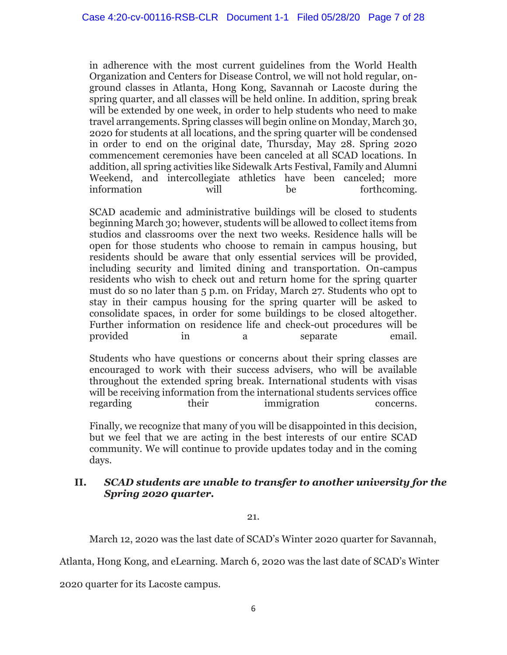in adherence with the most current guidelines from the World Health Organization and Centers for Disease Control, we will not hold regular, onground classes in Atlanta, Hong Kong, Savannah or Lacoste during the spring quarter, and all classes will be held online. In addition, spring break will be extended by one week, in order to help students who need to make travel arrangements. Spring classes will begin online on Monday, March 30, 2020 for students at all locations, and the spring quarter will be condensed in order to end on the original date, Thursday, May 28. Spring 2020 commencement ceremonies have been canceled at all SCAD locations. In addition, all spring activities like Sidewalk Arts Festival, Family and Alumni Weekend, and intercollegiate athletics have been canceled; more information will be forthcoming.

SCAD academic and administrative buildings will be closed to students beginning March 30; however, students will be allowed to collect items from studios and classrooms over the next two weeks. Residence halls will be open for those students who choose to remain in campus housing, but residents should be aware that only essential services will be provided, including security and limited dining and transportation. On-campus residents who wish to check out and return home for the spring quarter must do so no later than 5 p.m. on Friday, March 27. Students who opt to stay in their campus housing for the spring quarter will be asked to consolidate spaces, in order for some buildings to be closed altogether. Further information on residence life and check-out procedures will be provided in a separate email.

Students who have questions or concerns about their spring classes are encouraged to work with their success advisers, who will be available throughout the extended spring break. International students with visas will be receiving information from the international students services office regarding their immigration concerns.

Finally, we recognize that many of you will be disappointed in this decision, but we feel that we are acting in the best interests of our entire SCAD community. We will continue to provide updates today and in the coming days.

# **II.** *SCAD students are unable to transfer to another university for the Spring 2020 quarter.*

21.

March 12, 2020 was the last date of SCAD's Winter 2020 quarter for Savannah,

Atlanta, Hong Kong, and eLearning. March 6, 2020 was the last date of SCAD's Winter

2020 quarter for its Lacoste campus.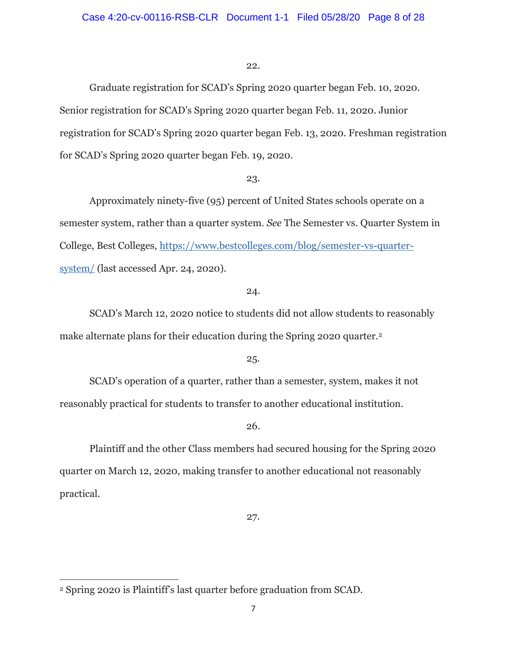Graduate registration for SCAD's Spring 2020 quarter began Feb. 10, 2020. Senior registration for SCAD's Spring 2020 quarter began Feb. 11, 2020. Junior registration for SCAD's Spring 2020 quarter began Feb. 13, 2020. Freshman registration for SCAD's Spring 2020 quarter began Feb. 19, 2020.

#### 23.

 Approximately ninety-five (95) percent of United States schools operate on a semester system, rather than a quarter system. *See* The Semester vs. Quarter System in College, Best Colleges, https://www.bestcolleges.com/blog/semester-vs-quartersystem/ (last accessed Apr. 24, 2020).

#### 24.

 SCAD's March 12, 2020 notice to students did not allow students to reasonably make alternate plans for their education during the Spring 2020 quarter.<sup>2</sup>

# 25.

 SCAD's operation of a quarter, rather than a semester, system, makes it not reasonably practical for students to transfer to another educational institution.

# 26.

 Plaintiff and the other Class members had secured housing for the Spring 2020 quarter on March 12, 2020, making transfer to another educational not reasonably practical.

27.

<sup>2</sup> Spring 2020 is Plaintiff's last quarter before graduation from SCAD.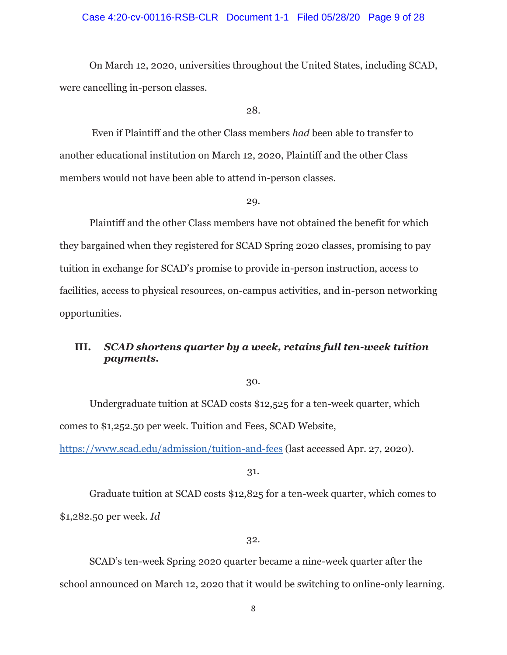#### Case 4:20-cv-00116-RSB-CLR Document 1-1 Filed 05/28/20 Page 9 of 28

 On March 12, 2020, universities throughout the United States, including SCAD, were cancelling in-person classes.

28.

 Even if Plaintiff and the other Class members *had* been able to transfer to another educational institution on March 12, 2020, Plaintiff and the other Class members would not have been able to attend in-person classes.

29.

 Plaintiff and the other Class members have not obtained the benefit for which they bargained when they registered for SCAD Spring 2020 classes, promising to pay tuition in exchange for SCAD's promise to provide in-person instruction, access to facilities, access to physical resources, on-campus activities, and in-person networking opportunities.

# **III.** *SCAD shortens quarter by a week, retains full ten-week tuition payments.*

30.

 Undergraduate tuition at SCAD costs \$12,525 for a ten-week quarter, which comes to \$1,252.50 per week. Tuition and Fees, SCAD Website,

https://www.scad.edu/admission/tuition-and-fees (last accessed Apr. 27, 2020).

31.

 Graduate tuition at SCAD costs \$12,825 for a ten-week quarter, which comes to \$1,282.50 per week. *Id* 

#### 32.

 SCAD's ten-week Spring 2020 quarter became a nine-week quarter after the school announced on March 12, 2020 that it would be switching to online-only learning.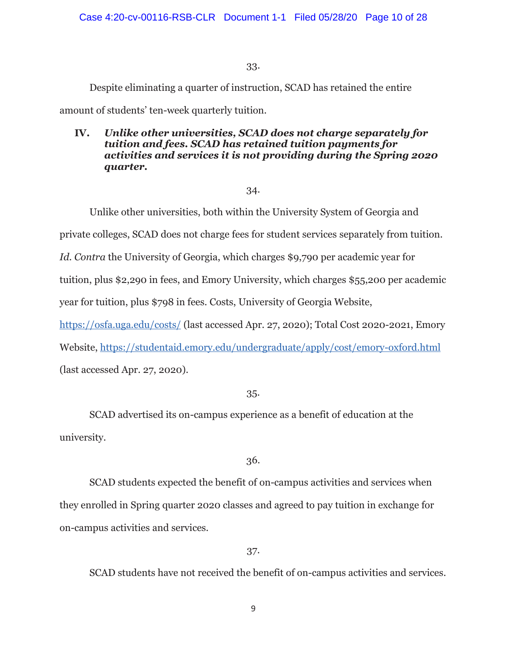Despite eliminating a quarter of instruction, SCAD has retained the entire

amount of students' ten-week quarterly tuition.

# **IV.** *Unlike other universities, SCAD does not charge separately for tuition and fees. SCAD has retained tuition payments for activities and services it is not providing during the Spring 2020 quarter.*

# 34.

Unlike other universities, both within the University System of Georgia and

private colleges, SCAD does not charge fees for student services separately from tuition.

*Id. Contra* the University of Georgia, which charges \$9,790 per academic year for

tuition, plus \$2,290 in fees, and Emory University, which charges \$55,200 per academic

year for tuition, plus \$798 in fees. Costs, University of Georgia Website,

https://osfa.uga.edu/costs/ (last accessed Apr. 27, 2020); Total Cost 2020-2021, Emory

Website, https://studentaid.emory.edu/undergraduate/apply/cost/emory-oxford.html

(last accessed Apr. 27, 2020).

# 35.

 SCAD advertised its on-campus experience as a benefit of education at the university.

# 36.

 SCAD students expected the benefit of on-campus activities and services when they enrolled in Spring quarter 2020 classes and agreed to pay tuition in exchange for on-campus activities and services.

# 37.

SCAD students have not received the benefit of on-campus activities and services.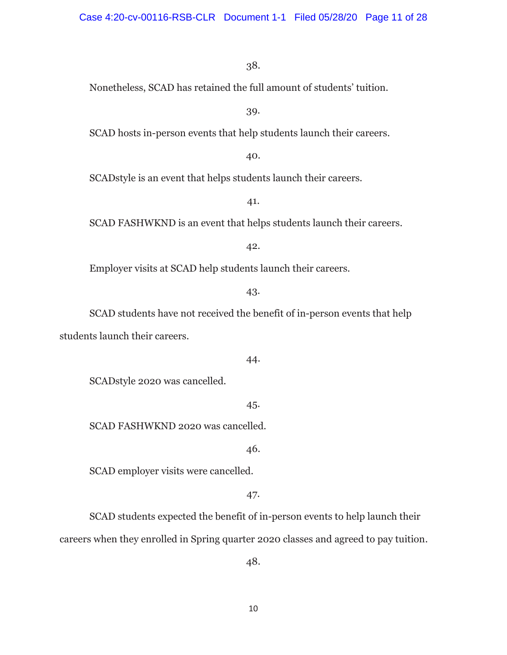Nonetheless, SCAD has retained the full amount of students' tuition.

39.

SCAD hosts in-person events that help students launch their careers.

40.

SCADstyle is an event that helps students launch their careers.

41.

SCAD FASHWKND is an event that helps students launch their careers.

42.

Employer visits at SCAD help students launch their careers.

43.

 SCAD students have not received the benefit of in-person events that help students launch their careers.

44.

SCADstyle 2020 was cancelled.

45.

SCAD FASHWKND 2020 was cancelled.

46.

SCAD employer visits were cancelled.

47.

 SCAD students expected the benefit of in-person events to help launch their careers when they enrolled in Spring quarter 2020 classes and agreed to pay tuition.

48.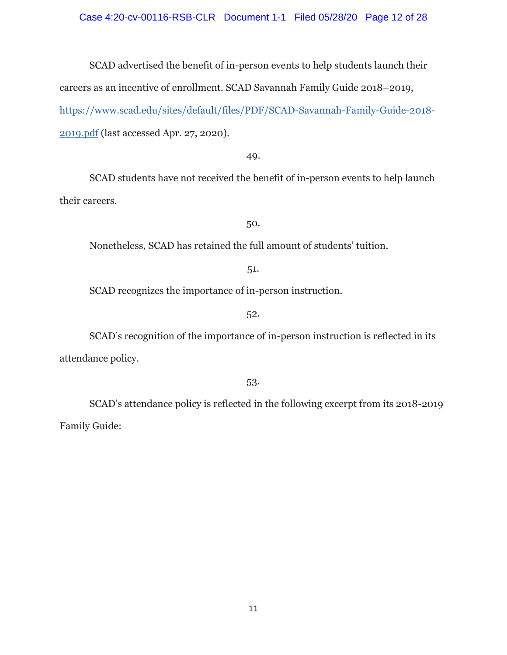#### Case 4:20-cv-00116-RSB-CLR Document 1-1 Filed 05/28/20 Page 12 of 28

 SCAD advertised the benefit of in-person events to help students launch their careers as an incentive of enrollment. SCAD Savannah Family Guide 2018–2019, https://www.scad.edu/sites/default/files/PDF/SCAD-Savannah-Family-Guide-2018- 2019.pdf (last accessed Apr. 27, 2020).

49.

 SCAD students have not received the benefit of in-person events to help launch their careers.

50.

Nonetheless, SCAD has retained the full amount of students' tuition.

51.

SCAD recognizes the importance of in-person instruction.

52.

 SCAD's recognition of the importance of in-person instruction is reflected in its attendance policy.

53.

 SCAD's attendance policy is reflected in the following excerpt from its 2018-2019 Family Guide: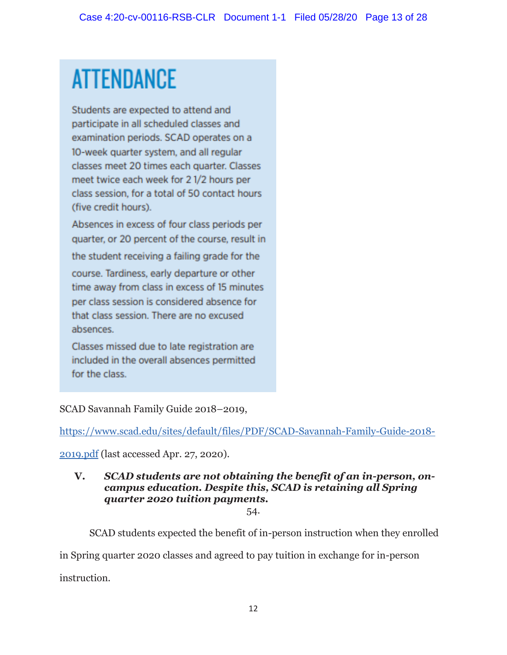# **ATTENDANCE**

Students are expected to attend and participate in all scheduled classes and examination periods. SCAD operates on a 10-week quarter system, and all regular classes meet 20 times each quarter. Classes meet twice each week for 21/2 hours per class session, for a total of 50 contact hours (five credit hours).

Absences in excess of four class periods per quarter, or 20 percent of the course, result in the student receiving a failing grade for the course. Tardiness, early departure or other time away from class in excess of 15 minutes per class session is considered absence for that class session. There are no excused absences.

Classes missed due to late registration are included in the overall absences permitted for the class.

SCAD Savannah Family Guide 2018–2019,

https://www.scad.edu/sites/default/files/PDF/SCAD-Savannah-Family-Guide-2018-

2019.pdf (last accessed Apr. 27, 2020).

# **V.** *SCAD students are not obtaining the benefit of an in-person, oncampus education. Despite this, SCAD is retaining all Spring quarter 2020 tuition payments.*

54.

SCAD students expected the benefit of in-person instruction when they enrolled

in Spring quarter 2020 classes and agreed to pay tuition in exchange for in-person

instruction.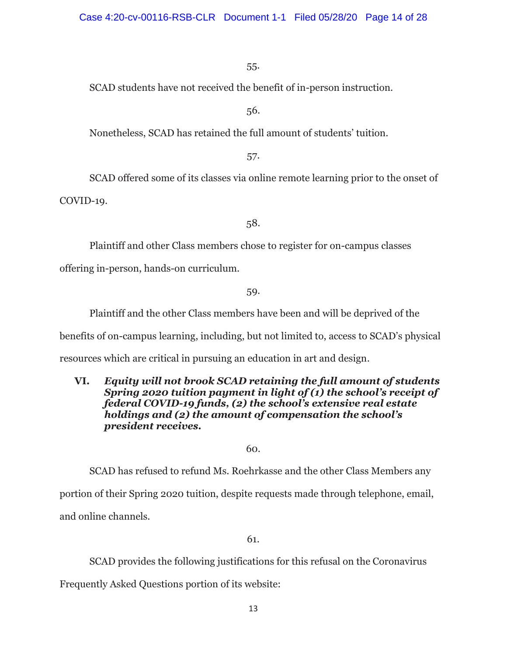SCAD students have not received the benefit of in-person instruction.

56.

Nonetheless, SCAD has retained the full amount of students' tuition.

57.

 SCAD offered some of its classes via online remote learning prior to the onset of COVID-19.

58.

Plaintiff and other Class members chose to register for on-campus classes

offering in-person, hands-on curriculum.

59.

Plaintiff and the other Class members have been and will be deprived of the

benefits of on-campus learning, including, but not limited to, access to SCAD's physical

resources which are critical in pursuing an education in art and design.

# **VI.** *Equity will not brook SCAD retaining the full amount of students Spring 2020 tuition payment in light of (1) the school's receipt of federal COVID-19 funds, (2) the school's extensive real estate holdings and (2) the amount of compensation the school's president receives.*

60.

SCAD has refused to refund Ms. Roehrkasse and the other Class Members any

portion of their Spring 2020 tuition, despite requests made through telephone, email,

and online channels.

61.

SCAD provides the following justifications for this refusal on the Coronavirus

Frequently Asked Questions portion of its website: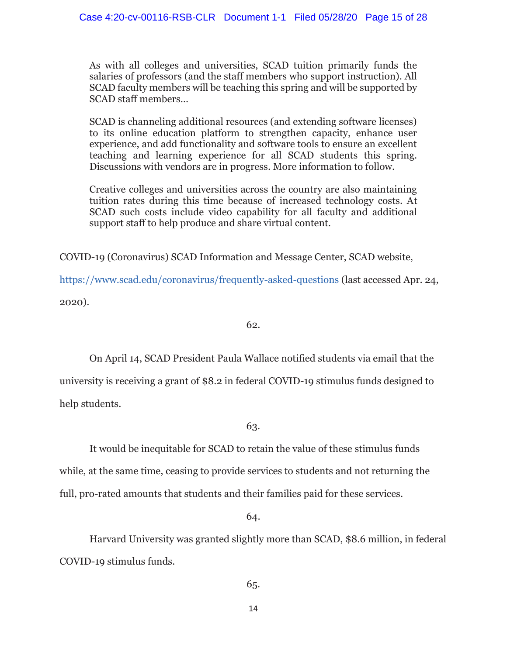As with all colleges and universities, SCAD tuition primarily funds the salaries of professors (and the staff members who support instruction). All SCAD faculty members will be teaching this spring and will be supported by SCAD staff members…

SCAD is channeling additional resources (and extending software licenses) to its online education platform to strengthen capacity, enhance user experience, and add functionality and software tools to ensure an excellent teaching and learning experience for all SCAD students this spring. Discussions with vendors are in progress. More information to follow.

Creative colleges and universities across the country are also maintaining tuition rates during this time because of increased technology costs. At SCAD such costs include video capability for all faculty and additional support staff to help produce and share virtual content.

COVID-19 (Coronavirus) SCAD Information and Message Center, SCAD website,

https://www.scad.edu/coronavirus/frequently-asked-questions (last accessed Apr. 24, 2020).

# 62.

 On April 14, SCAD President Paula Wallace notified students via email that the university is receiving a grant of \$8.2 in federal COVID-19 stimulus funds designed to help students.

# 63.

It would be inequitable for SCAD to retain the value of these stimulus funds while, at the same time, ceasing to provide services to students and not returning the full, pro-rated amounts that students and their families paid for these services.

64.

 Harvard University was granted slightly more than SCAD, \$8.6 million, in federal COVID-19 stimulus funds.

65.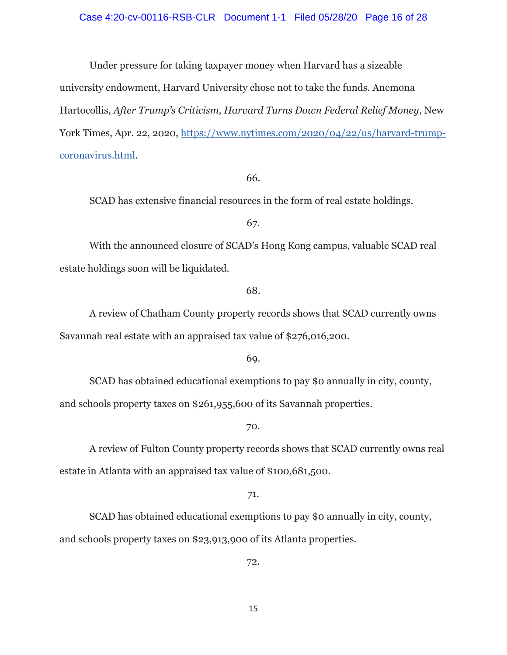Under pressure for taking taxpayer money when Harvard has a sizeable university endowment, Harvard University chose not to take the funds. Anemona Hartocollis, *After Trump's Criticism, Harvard Turns Down Federal Relief Money*, New York Times, Apr. 22, 2020, https://www.nytimes.com/2020/04/22/us/harvard-trumpcoronavirus.html.

66.

SCAD has extensive financial resources in the form of real estate holdings.

67.

 With the announced closure of SCAD's Hong Kong campus, valuable SCAD real estate holdings soon will be liquidated.

68.

 A review of Chatham County property records shows that SCAD currently owns Savannah real estate with an appraised tax value of \$276,016,200.

69.

 SCAD has obtained educational exemptions to pay \$0 annually in city, county, and schools property taxes on \$261,955,600 of its Savannah properties.

70.

 A review of Fulton County property records shows that SCAD currently owns real estate in Atlanta with an appraised tax value of \$100,681,500.

71.

SCAD has obtained educational exemptions to pay \$0 annually in city, county, and schools property taxes on \$23,913,900 of its Atlanta properties.

72.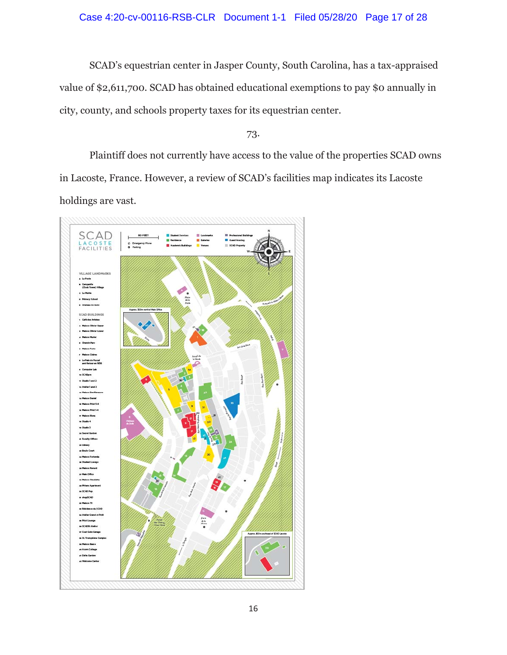# Case 4:20-cv-00116-RSB-CLR Document 1-1 Filed 05/28/20 Page 17 of 28

SCAD's equestrian center in Jasper County, South Carolina, has a tax-appraised value of \$2,611,700. SCAD has obtained educational exemptions to pay \$0 annually in city, county, and schools property taxes for its equestrian center.

73.

 Plaintiff does not currently have access to the value of the properties SCAD owns in Lacoste, France. However, a review of SCAD's facilities map indicates its Lacoste holdings are vast.

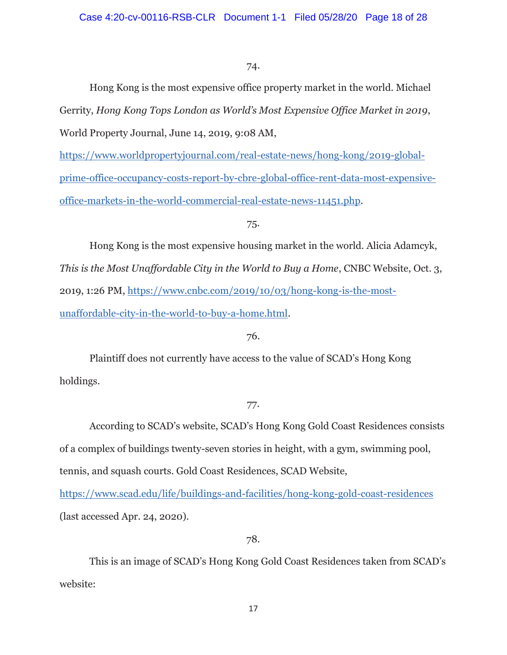Hong Kong is the most expensive office property market in the world. Michael Gerrity, *Hong Kong Tops London as World's Most Expensive Office Market in 2019*, World Property Journal, June 14, 2019, 9:08 AM,

https://www.worldpropertyjournal.com/real-estate-news/hong-kong/2019-globalprime-office-occupancy-costs-report-by-cbre-global-office-rent-data-most-expensiveoffice-markets-in-the-world-commercial-real-estate-news-11451.php.

# 75.

 Hong Kong is the most expensive housing market in the world. Alicia Adamcyk, *This is the Most Unaffordable City in the World to Buy a Home*, CNBC Website, Oct. 3, 2019, 1:26 PM, https://www.cnbc.com/2019/10/03/hong-kong-is-the-mostunaffordable-city-in-the-world-to-buy-a-home.html.

# 76.

 Plaintiff does not currently have access to the value of SCAD's Hong Kong holdings.

# 77.

 According to SCAD's website, SCAD's Hong Kong Gold Coast Residences consists of a complex of buildings twenty-seven stories in height, with a gym, swimming pool, tennis, and squash courts. Gold Coast Residences, SCAD Website,

https://www.scad.edu/life/buildings-and-facilities/hong-kong-gold-coast-residences (last accessed Apr. 24, 2020).

# 78.

This is an image of SCAD's Hong Kong Gold Coast Residences taken from SCAD's website: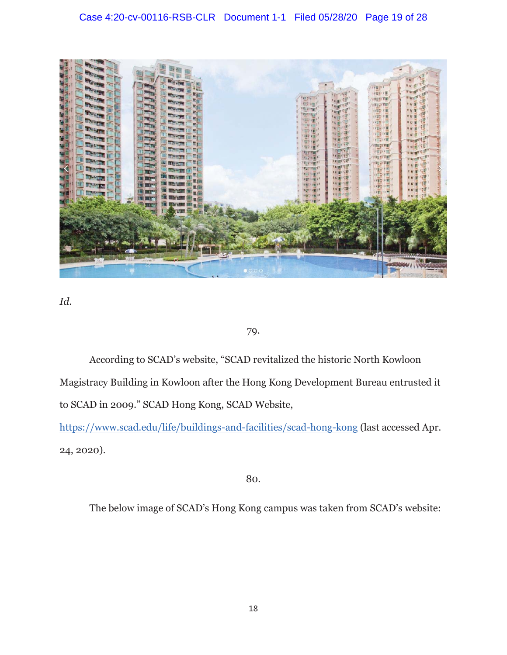

*Id.* 

# 79.

 According to SCAD's website, "SCAD revitalized the historic North Kowloon Magistracy Building in Kowloon after the Hong Kong Development Bureau entrusted it to SCAD in 2009." SCAD Hong Kong, SCAD Website,

https://www.scad.edu/life/buildings-and-facilities/scad-hong-kong (last accessed Apr. 24, 2020).

80.

The below image of SCAD's Hong Kong campus was taken from SCAD's website: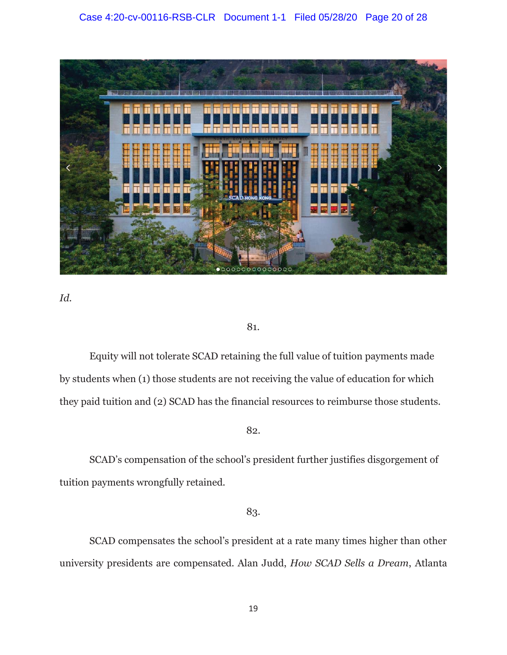

*Id.* 

# 81.

 Equity will not tolerate SCAD retaining the full value of tuition payments made by students when (1) those students are not receiving the value of education for which they paid tuition and (2) SCAD has the financial resources to reimburse those students.

# 82.

 SCAD's compensation of the school's president further justifies disgorgement of tuition payments wrongfully retained.

# 83.

 SCAD compensates the school's president at a rate many times higher than other university presidents are compensated. Alan Judd, *How SCAD Sells a Dream*, Atlanta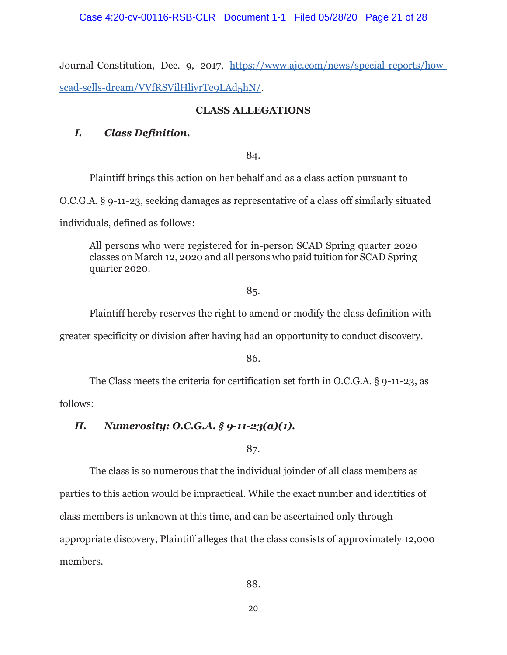Journal-Constitution, Dec. 9, 2017, https://www.ajc.com/news/special-reports/howscad-sells-dream/VVfRSVilHliyrTe9LAd5hN/.

# **CLASS ALLEGATIONS**

# *I. Class Definition.*

84.

Plaintiff brings this action on her behalf and as a class action pursuant to

O.C.G.A. § 9-11-23, seeking damages as representative of a class off similarly situated

individuals, defined as follows:

All persons who were registered for in-person SCAD Spring quarter 2020 classes on March 12, 2020 and all persons who paid tuition for SCAD Spring quarter 2020.

# 85.

Plaintiff hereby reserves the right to amend or modify the class definition with

greater specificity or division after having had an opportunity to conduct discovery.

86.

The Class meets the criteria for certification set forth in O.C.G.A. § 9-11-23, as

follows:

# *II. Numerosity: O.C.G.A. § 9-11-23(a)(1).*

87.

 The class is so numerous that the individual joinder of all class members as parties to this action would be impractical. While the exact number and identities of class members is unknown at this time, and can be ascertained only through appropriate discovery, Plaintiff alleges that the class consists of approximately 12,000 members.

88.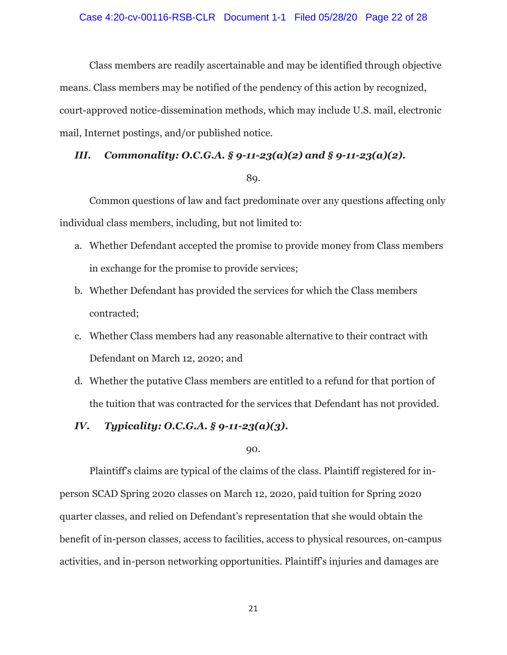Class members are readily ascertainable and may be identified through objective means. Class members may be notified of the pendency of this action by recognized, court-approved notice-dissemination methods, which may include U.S. mail, electronic mail, Internet postings, and/or published notice.

# *III. Commonality: O.C.G.A. § 9-11-23(a)(2) and § 9-11-23(a)(2).*

#### 89.

 Common questions of law and fact predominate over any questions affecting only individual class members, including, but not limited to:

- a. Whether Defendant accepted the promise to provide money from Class members in exchange for the promise to provide services;
- b. Whether Defendant has provided the services for which the Class members contracted;
- c. Whether Class members had any reasonable alternative to their contract with Defendant on March 12, 2020; and
- d. Whether the putative Class members are entitled to a refund for that portion of the tuition that was contracted for the services that Defendant has not provided.

# *IV. Typicality: O.C.G.A. § 9-11-23(a)(3).*

90.

Plaintiff's claims are typical of the claims of the class. Plaintiff registered for inperson SCAD Spring 2020 classes on March 12, 2020, paid tuition for Spring 2020 quarter classes, and relied on Defendant's representation that she would obtain the benefit of in-person classes, access to facilities, access to physical resources, on-campus activities, and in-person networking opportunities. Plaintiff's injuries and damages are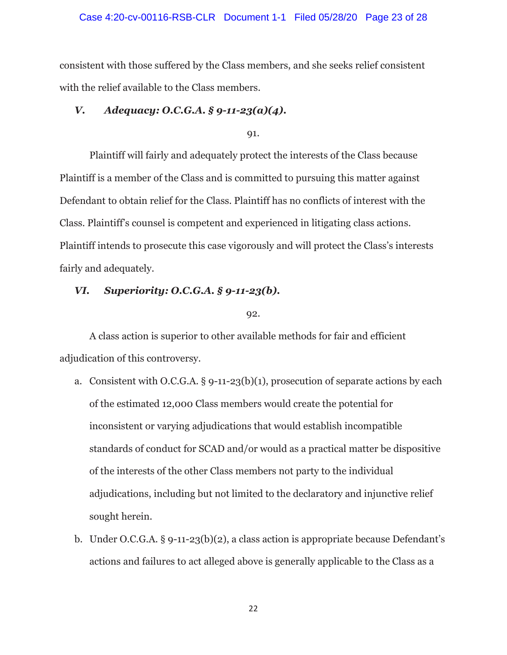#### Case 4:20-cv-00116-RSB-CLR Document 1-1 Filed 05/28/20 Page 23 of 28

consistent with those suffered by the Class members, and she seeks relief consistent with the relief available to the Class members.

# *V. Adequacy: O.C.G.A. § 9-11-23(a)(4).*

91.

 Plaintiff will fairly and adequately protect the interests of the Class because Plaintiff is a member of the Class and is committed to pursuing this matter against Defendant to obtain relief for the Class. Plaintiff has no conflicts of interest with the Class. Plaintiff's counsel is competent and experienced in litigating class actions. Plaintiff intends to prosecute this case vigorously and will protect the Class's interests fairly and adequately.

### *VI. Superiority: O.C.G.A. § 9-11-23(b).*

92.

 A class action is superior to other available methods for fair and efficient adjudication of this controversy.

- a. Consistent with O.C.G.A. § 9-11-23(b)(1), prosecution of separate actions by each of the estimated 12,000 Class members would create the potential for inconsistent or varying adjudications that would establish incompatible standards of conduct for SCAD and/or would as a practical matter be dispositive of the interests of the other Class members not party to the individual adjudications, including but not limited to the declaratory and injunctive relief sought herein.
- b. Under O.C.G.A. § 9-11-23(b)(2), a class action is appropriate because Defendant's actions and failures to act alleged above is generally applicable to the Class as a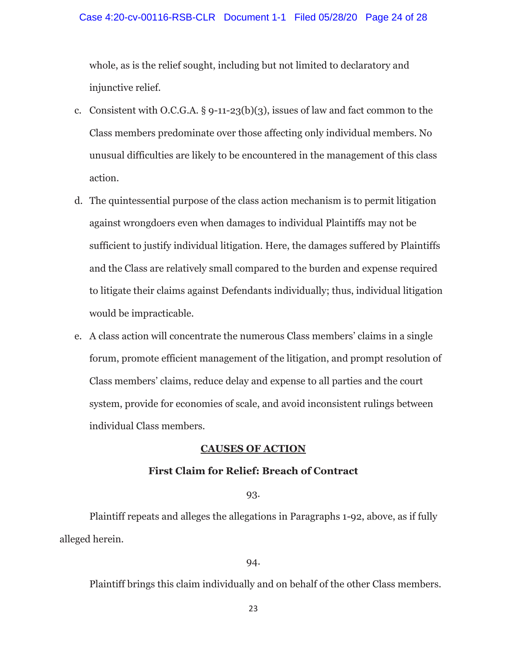#### Case 4:20-cv-00116-RSB-CLR Document 1-1 Filed 05/28/20 Page 24 of 28

whole, as is the relief sought, including but not limited to declaratory and injunctive relief.

- c. Consistent with O.C.G.A.  $\S$  9-11-23(b)(3), issues of law and fact common to the Class members predominate over those affecting only individual members. No unusual difficulties are likely to be encountered in the management of this class action.
- d. The quintessential purpose of the class action mechanism is to permit litigation against wrongdoers even when damages to individual Plaintiffs may not be sufficient to justify individual litigation. Here, the damages suffered by Plaintiffs and the Class are relatively small compared to the burden and expense required to litigate their claims against Defendants individually; thus, individual litigation would be impracticable.
- e. A class action will concentrate the numerous Class members' claims in a single forum, promote efficient management of the litigation, and prompt resolution of Class members' claims, reduce delay and expense to all parties and the court system, provide for economies of scale, and avoid inconsistent rulings between individual Class members.

#### **CAUSES OF ACTION**

### **First Claim for Relief: Breach of Contract**

#### 93.

 Plaintiff repeats and alleges the allegations in Paragraphs 1-92, above, as if fully alleged herein.

#### 94.

Plaintiff brings this claim individually and on behalf of the other Class members.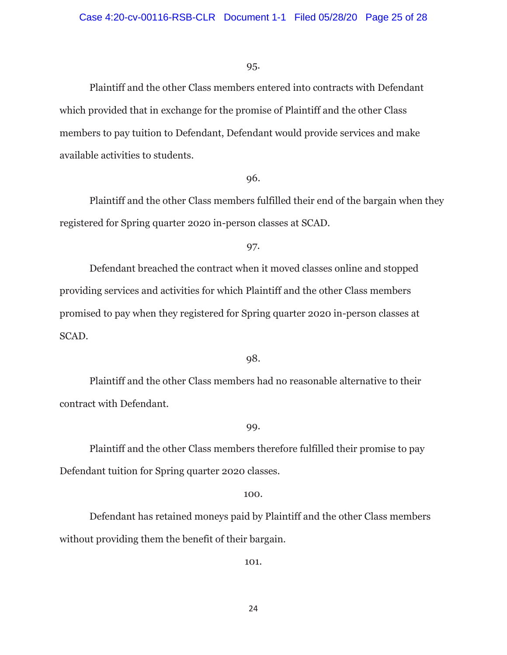Plaintiff and the other Class members entered into contracts with Defendant which provided that in exchange for the promise of Plaintiff and the other Class members to pay tuition to Defendant, Defendant would provide services and make available activities to students.

#### 96.

 Plaintiff and the other Class members fulfilled their end of the bargain when they registered for Spring quarter 2020 in-person classes at SCAD.

97.

 Defendant breached the contract when it moved classes online and stopped providing services and activities for which Plaintiff and the other Class members promised to pay when they registered for Spring quarter 2020 in-person classes at SCAD.

#### 98.

 Plaintiff and the other Class members had no reasonable alternative to their contract with Defendant.

#### 99.

 Plaintiff and the other Class members therefore fulfilled their promise to pay Defendant tuition for Spring quarter 2020 classes.

#### 100.

 Defendant has retained moneys paid by Plaintiff and the other Class members without providing them the benefit of their bargain.

101.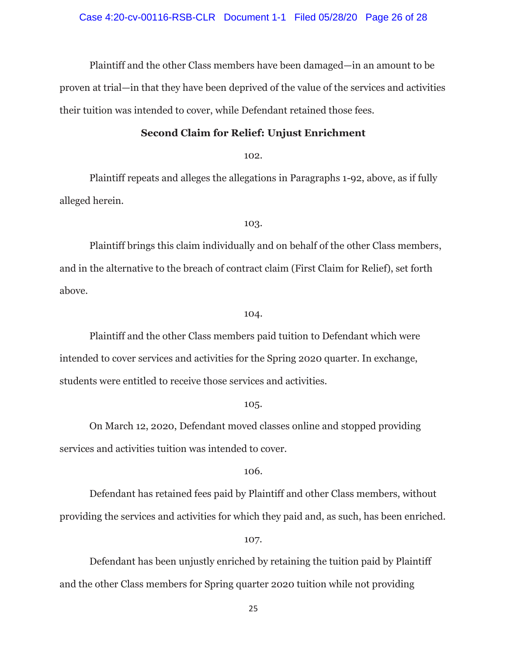Plaintiff and the other Class members have been damaged—in an amount to be proven at trial—in that they have been deprived of the value of the services and activities their tuition was intended to cover, while Defendant retained those fees.

# **Second Claim for Relief: Unjust Enrichment**

102.

 Plaintiff repeats and alleges the allegations in Paragraphs 1-92, above, as if fully alleged herein.

103.

 Plaintiff brings this claim individually and on behalf of the other Class members, and in the alternative to the breach of contract claim (First Claim for Relief), set forth above.

#### 104.

 Plaintiff and the other Class members paid tuition to Defendant which were intended to cover services and activities for the Spring 2020 quarter. In exchange, students were entitled to receive those services and activities.

105.

 On March 12, 2020, Defendant moved classes online and stopped providing services and activities tuition was intended to cover.

106.

 Defendant has retained fees paid by Plaintiff and other Class members, without providing the services and activities for which they paid and, as such, has been enriched.

107.

 Defendant has been unjustly enriched by retaining the tuition paid by Plaintiff and the other Class members for Spring quarter 2020 tuition while not providing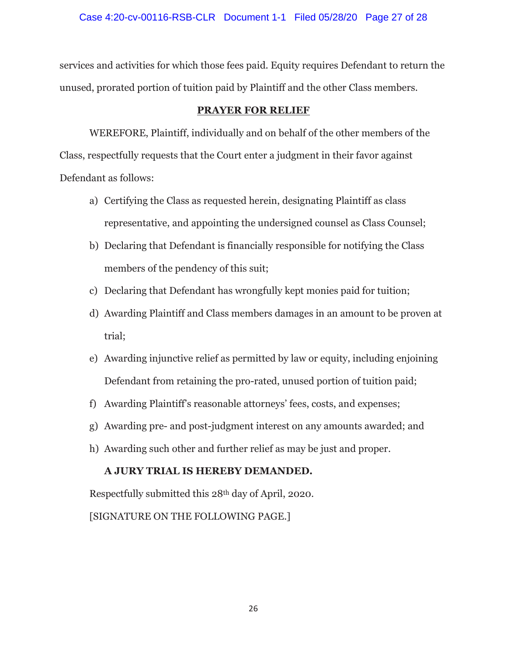services and activities for which those fees paid. Equity requires Defendant to return the unused, prorated portion of tuition paid by Plaintiff and the other Class members.

# **PRAYER FOR RELIEF**

 WEREFORE, Plaintiff, individually and on behalf of the other members of the Class, respectfully requests that the Court enter a judgment in their favor against Defendant as follows:

- a) Certifying the Class as requested herein, designating Plaintiff as class representative, and appointing the undersigned counsel as Class Counsel;
- b) Declaring that Defendant is financially responsible for notifying the Class members of the pendency of this suit;
- c) Declaring that Defendant has wrongfully kept monies paid for tuition;
- d) Awarding Plaintiff and Class members damages in an amount to be proven at trial;
- e) Awarding injunctive relief as permitted by law or equity, including enjoining Defendant from retaining the pro-rated, unused portion of tuition paid;
- f) Awarding Plaintiff's reasonable attorneys' fees, costs, and expenses;
- g) Awarding pre- and post-judgment interest on any amounts awarded; and
- h) Awarding such other and further relief as may be just and proper.

# **A JURY TRIAL IS HEREBY DEMANDED.**

Respectfully submitted this 28th day of April, 2020.

[SIGNATURE ON THE FOLLOWING PAGE.]